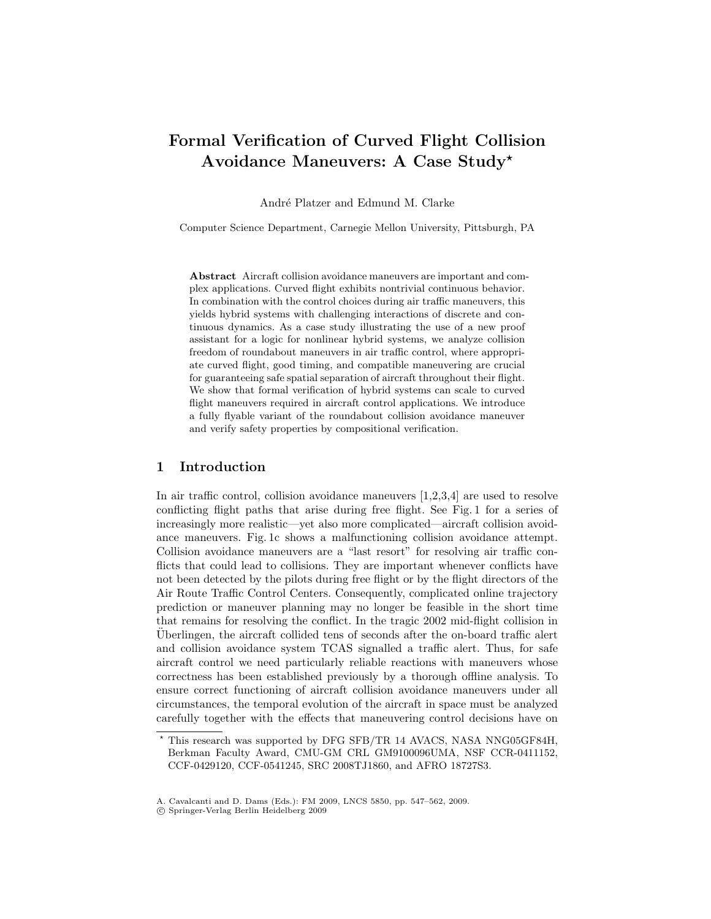# Formal Verification of Curved Flight Collision Avoidance Maneuvers: A Case Study?

André Platzer and Edmund M. Clarke

Computer Science Department, Carnegie Mellon University, Pittsburgh, PA

Abstract Aircraft collision avoidance maneuvers are important and complex applications. Curved flight exhibits nontrivial continuous behavior. In combination with the control choices during air traffic maneuvers, this yields hybrid systems with challenging interactions of discrete and continuous dynamics. As a case study illustrating the use of a new proof assistant for a logic for nonlinear hybrid systems, we analyze collision freedom of roundabout maneuvers in air traffic control, where appropriate curved flight, good timing, and compatible maneuvering are crucial for guaranteeing safe spatial separation of aircraft throughout their flight. We show that formal verification of hybrid systems can scale to curved flight maneuvers required in aircraft control applications. We introduce a fully flyable variant of the roundabout collision avoidance maneuver and verify safety properties by compositional verification.

# 1 Introduction

In air traffic control, collision avoidance maneuvers [1,2,3,4] are used to resolve conflicting flight paths that arise during free flight. See Fig. 1 for a series of increasingly more realistic—yet also more complicated—aircraft collision avoidance maneuvers. Fig. 1c shows a malfunctioning collision avoidance attempt. Collision avoidance maneuvers are a "last resort" for resolving air traffic conflicts that could lead to collisions. They are important whenever conflicts have not been detected by the pilots during free flight or by the flight directors of the Air Route Traffic Control Centers. Consequently, complicated online trajectory prediction or maneuver planning may no longer be feasible in the short time that remains for resolving the conflict. In the tragic 2002 mid-flight collision in Uberlingen, the aircraft collided tens of seconds after the on-board traffic alert and collision avoidance system TCAS signalled a traffic alert. Thus, for safe aircraft control we need particularly reliable reactions with maneuvers whose correctness has been established previously by a thorough offline analysis. To ensure correct functioning of aircraft collision avoidance maneuvers under all circumstances, the temporal evolution of the aircraft in space must be analyzed carefully together with the effects that maneuvering control decisions have on

<sup>?</sup> This research was supported by DFG SFB/TR 14 AVACS, NASA NNG05GF84H, Berkman Faculty Award, CMU-GM CRL GM9100096UMA, NSF CCR-0411152, CCF-0429120, CCF-0541245, SRC 2008TJ1860, and AFRO 18727S3.

A. Cavalcanti and D. Dams (Eds.): FM 2009, LNCS 5850, pp. 547–562, 2009.

c Springer-Verlag Berlin Heidelberg 2009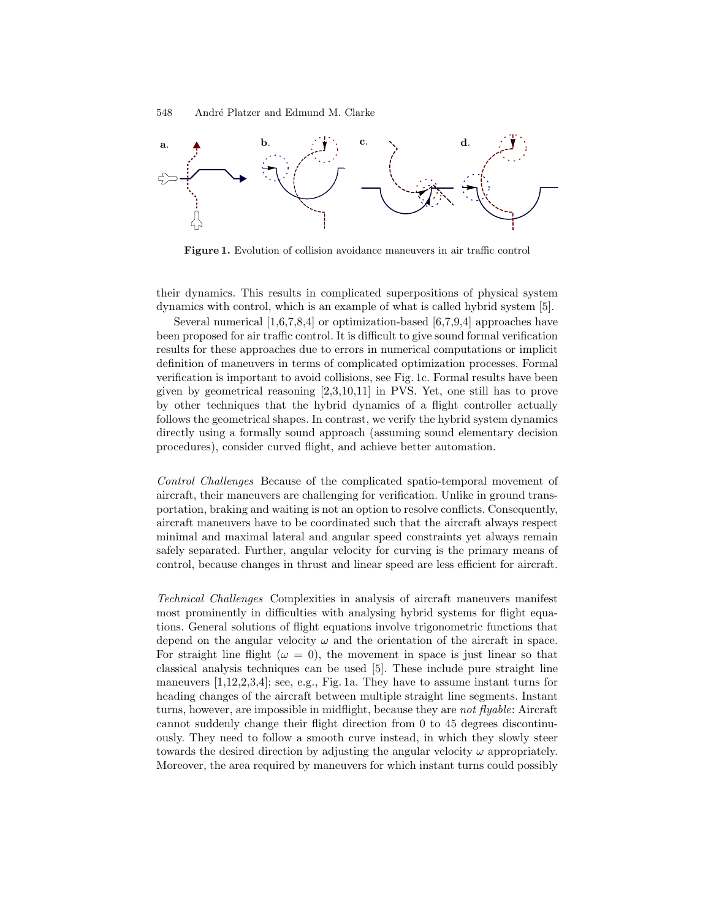

Figure 1. Evolution of collision avoidance maneuvers in air traffic control

their dynamics. This results in complicated superpositions of physical system dynamics with control, which is an example of what is called hybrid system [5].

Several numerical [1,6,7,8,4] or optimization-based [6,7,9,4] approaches have been proposed for air traffic control. It is difficult to give sound formal verification results for these approaches due to errors in numerical computations or implicit definition of maneuvers in terms of complicated optimization processes. Formal verification is important to avoid collisions, see Fig. 1c. Formal results have been given by geometrical reasoning [2,3,10,11] in PVS. Yet, one still has to prove by other techniques that the hybrid dynamics of a flight controller actually follows the geometrical shapes. In contrast, we verify the hybrid system dynamics directly using a formally sound approach (assuming sound elementary decision procedures), consider curved flight, and achieve better automation.

Control Challenges Because of the complicated spatio-temporal movement of aircraft, their maneuvers are challenging for verification. Unlike in ground transportation, braking and waiting is not an option to resolve conflicts. Consequently, aircraft maneuvers have to be coordinated such that the aircraft always respect minimal and maximal lateral and angular speed constraints yet always remain safely separated. Further, angular velocity for curving is the primary means of control, because changes in thrust and linear speed are less efficient for aircraft.

Technical Challenges Complexities in analysis of aircraft maneuvers manifest most prominently in difficulties with analysing hybrid systems for flight equations. General solutions of flight equations involve trigonometric functions that depend on the angular velocity  $\omega$  and the orientation of the aircraft in space. For straight line flight ( $\omega = 0$ ), the movement in space is just linear so that classical analysis techniques can be used [5]. These include pure straight line maneuvers [1,12,2,3,4]; see, e.g., Fig. 1a. They have to assume instant turns for heading changes of the aircraft between multiple straight line segments. Instant turns, however, are impossible in midflight, because they are not flyable: Aircraft cannot suddenly change their flight direction from 0 to 45 degrees discontinuously. They need to follow a smooth curve instead, in which they slowly steer towards the desired direction by adjusting the angular velocity  $\omega$  appropriately. Moreover, the area required by maneuvers for which instant turns could possibly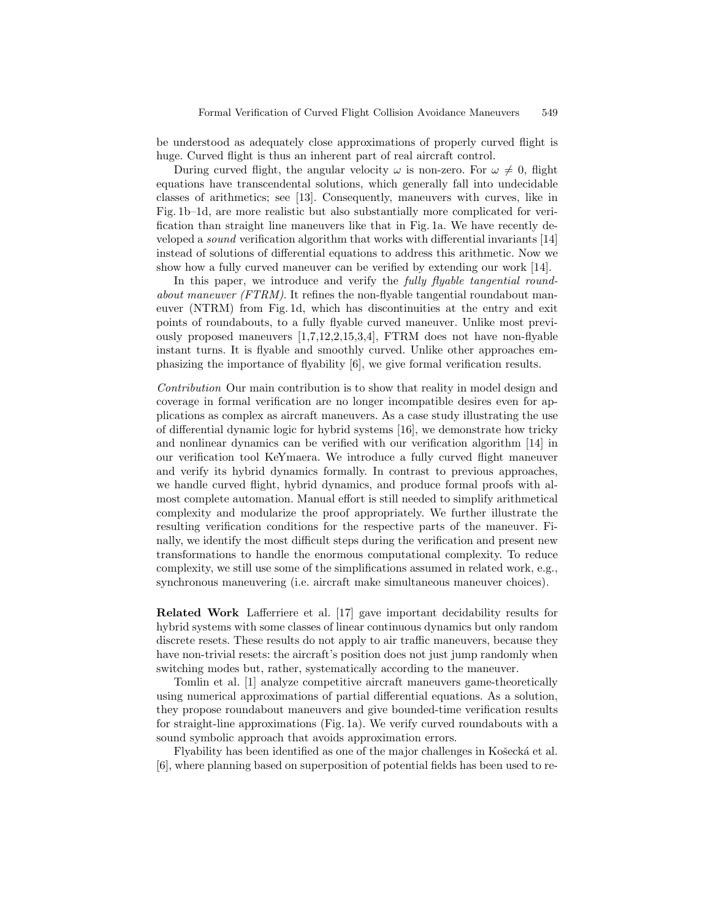be understood as adequately close approximations of properly curved flight is huge. Curved flight is thus an inherent part of real aircraft control.

During curved flight, the angular velocity  $\omega$  is non-zero. For  $\omega \neq 0$ , flight equations have transcendental solutions, which generally fall into undecidable classes of arithmetics; see [13]. Consequently, maneuvers with curves, like in Fig. 1b–1d, are more realistic but also substantially more complicated for verification than straight line maneuvers like that in Fig. 1a. We have recently developed a sound verification algorithm that works with differential invariants [14] instead of solutions of differential equations to address this arithmetic. Now we show how a fully curved maneuver can be verified by extending our work [14].

In this paper, we introduce and verify the *fully flyable tangential round*about maneuver (FTRM). It refines the non-flyable tangential roundabout maneuver (NTRM) from Fig. 1d, which has discontinuities at the entry and exit points of roundabouts, to a fully flyable curved maneuver. Unlike most previously proposed maneuvers  $[1,7,12,2,15,3,4]$ , FTRM does not have non-flyable instant turns. It is flyable and smoothly curved. Unlike other approaches emphasizing the importance of flyability [6], we give formal verification results.

Contribution Our main contribution is to show that reality in model design and coverage in formal verification are no longer incompatible desires even for applications as complex as aircraft maneuvers. As a case study illustrating the use of differential dynamic logic for hybrid systems [16], we demonstrate how tricky and nonlinear dynamics can be verified with our verification algorithm [14] in our verification tool KeYmaera. We introduce a fully curved flight maneuver and verify its hybrid dynamics formally. In contrast to previous approaches, we handle curved flight, hybrid dynamics, and produce formal proofs with almost complete automation. Manual effort is still needed to simplify arithmetical complexity and modularize the proof appropriately. We further illustrate the resulting verification conditions for the respective parts of the maneuver. Finally, we identify the most difficult steps during the verification and present new transformations to handle the enormous computational complexity. To reduce complexity, we still use some of the simplifications assumed in related work, e.g., synchronous maneuvering (i.e. aircraft make simultaneous maneuver choices).

Related Work Lafferriere et al. [17] gave important decidability results for hybrid systems with some classes of linear continuous dynamics but only random discrete resets. These results do not apply to air traffic maneuvers, because they have non-trivial resets: the aircraft's position does not just jump randomly when switching modes but, rather, systematically according to the maneuver.

Tomlin et al. [1] analyze competitive aircraft maneuvers game-theoretically using numerical approximations of partial differential equations. As a solution, they propose roundabout maneuvers and give bounded-time verification results for straight-line approximations (Fig. 1a). We verify curved roundabouts with a sound symbolic approach that avoids approximation errors.

Flyability has been identified as one of the major challenges in Košecká et al. [6], where planning based on superposition of potential fields has been used to re-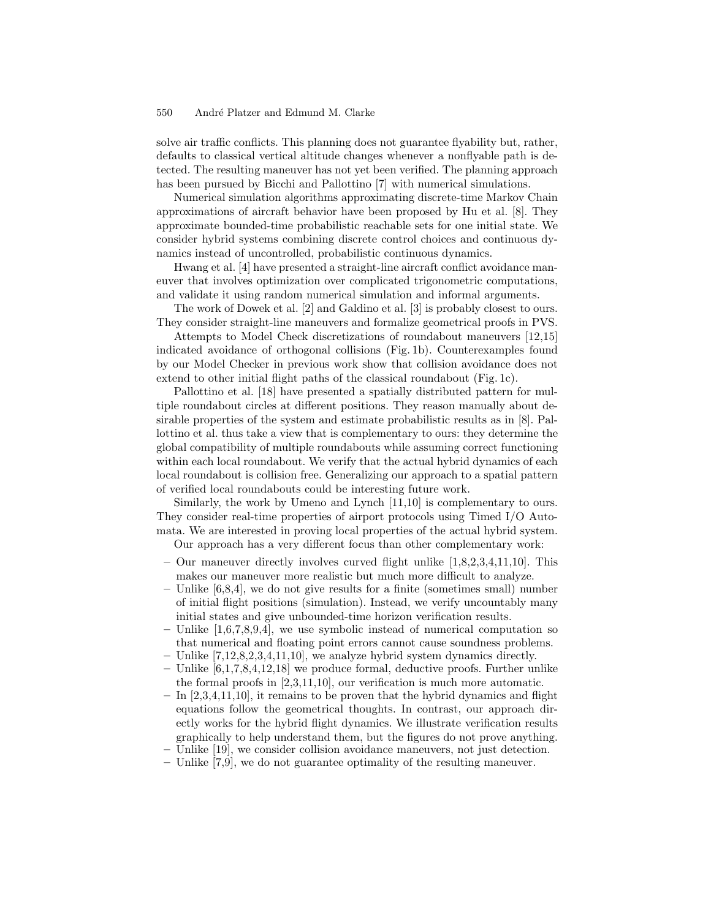#### 550 André Platzer and Edmund M. Clarke

solve air traffic conflicts. This planning does not guarantee flyability but, rather, defaults to classical vertical altitude changes whenever a nonflyable path is detected. The resulting maneuver has not yet been verified. The planning approach has been pursued by Bicchi and Pallottino [7] with numerical simulations.

Numerical simulation algorithms approximating discrete-time Markov Chain approximations of aircraft behavior have been proposed by Hu et al. [8]. They approximate bounded-time probabilistic reachable sets for one initial state. We consider hybrid systems combining discrete control choices and continuous dynamics instead of uncontrolled, probabilistic continuous dynamics.

Hwang et al. [4] have presented a straight-line aircraft conflict avoidance maneuver that involves optimization over complicated trigonometric computations, and validate it using random numerical simulation and informal arguments.

The work of Dowek et al. [2] and Galdino et al. [3] is probably closest to ours. They consider straight-line maneuvers and formalize geometrical proofs in PVS.

Attempts to Model Check discretizations of roundabout maneuvers [12,15] indicated avoidance of orthogonal collisions (Fig. 1b). Counterexamples found by our Model Checker in previous work show that collision avoidance does not extend to other initial flight paths of the classical roundabout (Fig. 1c).

Pallottino et al. [18] have presented a spatially distributed pattern for multiple roundabout circles at different positions. They reason manually about desirable properties of the system and estimate probabilistic results as in [8]. Pallottino et al. thus take a view that is complementary to ours: they determine the global compatibility of multiple roundabouts while assuming correct functioning within each local roundabout. We verify that the actual hybrid dynamics of each local roundabout is collision free. Generalizing our approach to a spatial pattern of verified local roundabouts could be interesting future work.

Similarly, the work by Umeno and Lynch [11,10] is complementary to ours. They consider real-time properties of airport protocols using Timed I/O Automata. We are interested in proving local properties of the actual hybrid system. Our approach has a very different focus than other complementary work:

- Our maneuver directly involves curved flight unlike [1,8,2,3,4,11,10]. This makes our maneuver more realistic but much more difficult to analyze.
- Unlike [6,8,4], we do not give results for a finite (sometimes small) number of initial flight positions (simulation). Instead, we verify uncountably many initial states and give unbounded-time horizon verification results.
- Unlike  $[1,6,7,8,9,4]$ , we use symbolic instead of numerical computation so that numerical and floating point errors cannot cause soundness problems.
- Unlike  $[7,12,8,2,3,4,11,10]$ , we analyze hybrid system dynamics directly.
- Unlike [6,1,7,8,4,12,18] we produce formal, deductive proofs. Further unlike the formal proofs in [2,3,11,10], our verification is much more automatic.
- $-$  In  $[2,3,4,11,10]$ , it remains to be proven that the hybrid dynamics and flight equations follow the geometrical thoughts. In contrast, our approach directly works for the hybrid flight dynamics. We illustrate verification results graphically to help understand them, but the figures do not prove anything.
- Unlike [19], we consider collision avoidance maneuvers, not just detection.
- Unlike [7,9], we do not guarantee optimality of the resulting maneuver.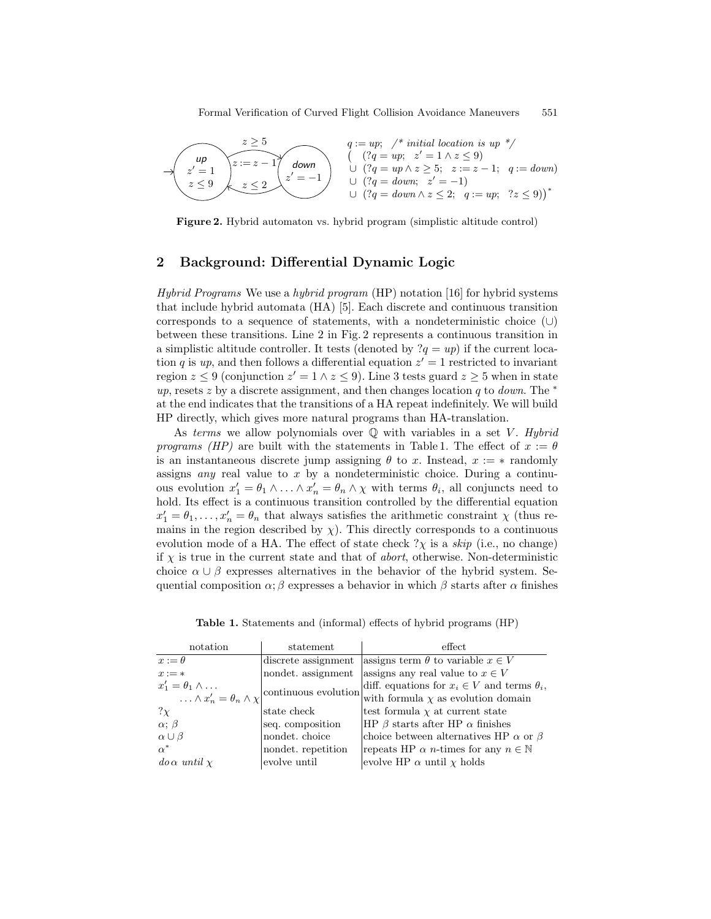

Figure 2. Hybrid automaton vs. hybrid program (simplistic altitude control)

# 2 Background: Differential Dynamic Logic

Hybrid Programs We use a hybrid program (HP) notation [16] for hybrid systems that include hybrid automata (HA) [5]. Each discrete and continuous transition corresponds to a sequence of statements, with a nondeterministic choice  $(\cup)$ between these transitions. Line 2 in Fig. 2 represents a continuous transition in a simplistic altitude controller. It tests (denoted by  $?q = up$ ) if the current location q is up, and then follows a differential equation  $z' = 1$  restricted to invariant region  $z \leq 9$  (conjunction  $z' = 1 \wedge z \leq 9$ ). Line 3 tests guard  $z \geq 5$  when in state up, resets z by a discrete assignment, and then changes location q to down. The  $*$ at the end indicates that the transitions of a HA repeat indefinitely. We will build HP directly, which gives more natural programs than HA-translation.

As terms we allow polynomials over  $\mathbb Q$  with variables in a set V. Hybrid programs (HP) are built with the statements in Table 1. The effect of  $x := \theta$ is an instantaneous discrete jump assigning  $\theta$  to x. Instead,  $x := *$  randomly assigns *any* real value to x by a nondeterministic choice. During a continuous evolution  $x'_1 = \theta_1 \wedge \ldots \wedge x'_n = \theta_n \wedge \chi$  with terms  $\theta_i$ , all conjuncts need to hold. Its effect is a continuous transition controlled by the differential equation  $x'_1 = \theta_1, \ldots, x'_n = \theta_n$  that always satisfies the arithmetic constraint  $\chi$  (thus remains in the region described by  $\chi$ ). This directly corresponds to a continuous evolution mode of a HA. The effect of state check  $?\chi$  is a skip (i.e., no change) if  $\chi$  is true in the current state and that of *abort*, otherwise. Non-deterministic choice  $\alpha \cup \beta$  expresses alternatives in the behavior of the hybrid system. Sequential composition  $\alpha$ ;  $\beta$  expresses a behavior in which  $\beta$  starts after  $\alpha$  finishes

Table 1. Statements and (informal) effects of hybrid programs (HP)

| notation                                    | statement            | effect                                                         |  |
|---------------------------------------------|----------------------|----------------------------------------------------------------|--|
| $x := \theta$                               | discrete assignment  | assigns term $\theta$ to variable $x \in V$                    |  |
| $x := *$                                    | nondet. assignment   | assigns any real value to $x \in V$                            |  |
| $x'_1 = \theta_1 \wedge \ldots$             | continuous evolution | diff. equations for $x_i \in V$ and terms $\theta_i$ ,         |  |
| $\ldots \wedge x'_n = \theta_n \wedge \chi$ |                      | with formula $\chi$ as evolution domain                        |  |
| $?_X$                                       | state check          | test formula $\chi$ at current state                           |  |
| $\alpha$ ; $\beta$                          | seq. composition     | HP $\beta$ starts after HP $\alpha$ finishes                   |  |
| $\alpha \cup \beta$                         | nondet. choice       | choice between alternatives HP $\alpha$ or $\beta$             |  |
| $\alpha^*$                                  | nondet. repetition   | repeats HP $\alpha$ <i>n</i> -times for any $n \in \mathbb{N}$ |  |
| $do \alpha$ until $\chi$                    | evolve until         | evolve HP $\alpha$ until $\chi$ holds                          |  |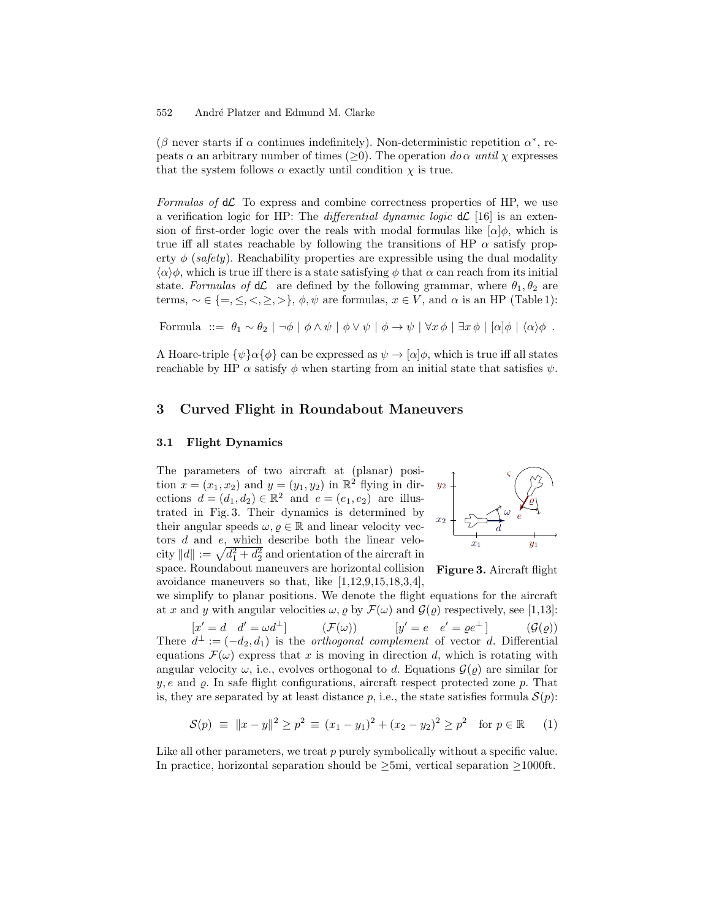( $\beta$  never starts if  $\alpha$  continues indefinitely). Non-deterministic repetition  $\alpha^*$ , repeats  $\alpha$  an arbitrary number of times ( $\geq$ 0). The operation  $d\alpha$  until  $\chi$  expresses that the system follows  $\alpha$  exactly until condition  $\chi$  is true.

Formulas of  $d\mathcal{L}$  To express and combine correctness properties of HP, we use a verification logic for HP: The *differential dynamic logic*  $d\mathcal{L}$  [16] is an extension of first-order logic over the reals with modal formulas like  $[\alpha]\phi$ , which is true iff all states reachable by following the transitions of HP  $\alpha$  satisfy property  $\phi$  (safety). Reachability properties are expressible using the dual modality  $\langle \alpha \rangle \phi$ , which is true iff there is a state satisfying  $\phi$  that  $\alpha$  can reach from its initial state. Formulas of  $d\mathcal{L}$  are defined by the following grammar, where  $\theta_1, \theta_2$  are terms,  $\sim \in \{ =, \leq, \lt, \geq, \gt\}, \phi, \psi$  are formulas,  $x \in V$ , and  $\alpha$  is an HP (Table 1):

Formula ::=  $\theta_1 \sim \theta_2 \mid \neg \phi \mid \phi \wedge \psi \mid \phi \vee \psi \mid \phi \rightarrow \psi \mid \forall x \phi \mid \exists x \phi \mid [\alpha] \phi \mid \langle \alpha \rangle \phi$ .

A Hoare-triple  $\{\psi\} \alpha \{\phi\}$  can be expressed as  $\psi \to |\alpha| \phi$ , which is true iff all states reachable by HP  $\alpha$  satisfy  $\phi$  when starting from an initial state that satisfies  $\psi$ .

# 3 Curved Flight in Roundabout Maneuvers

### 3.1 Flight Dynamics

The parameters of two aircraft at (planar) position  $x = (x_1, x_2)$  and  $y = (y_1, y_2)$  in  $\mathbb{R}^2$  flying in directions  $d = (d_1, d_2) \in \mathbb{R}^2$  and  $e = (e_1, e_2)$  are illustrated in Fig. 3. Their dynamics is determined by their angular speeds  $\omega, \rho \in \mathbb{R}$  and linear velocity vectors d and e, which describe both the linear velocity  $||d|| := \sqrt{d_1^2 + d_2^2}$  and orientation of the aircraft in space. Roundabout maneuvers are horizontal collision avoidance maneuvers so that, like [1,12,9,15,18,3,4],



Figure 3. Aircraft flight

we simplify to planar positions. We denote the flight equations for the aircraft at x and y with angular velocities  $\omega$ ,  $\varrho$  by  $\mathcal{F}(\omega)$  and  $\mathcal{G}(\varrho)$  respectively, see [1,13]:

 $[x' = d \quad d' = \omega d^{\perp}]$   $(\mathcal{F}(\omega))$  [y  $[y' = e \quad e' = \varrho e^{\perp} \quad (G(\varrho))$ There  $d^{\perp} := (-d_2, d_1)$  is the *orthogonal complement* of vector d. Differential equations  $\mathcal{F}(\omega)$  express that x is moving in direction d, which is rotating with angular velocity  $\omega$ , i.e., evolves orthogonal to d. Equations  $\mathcal{G}(\varrho)$  are similar for  $y, e$  and  $\rho$ . In safe flight configurations, aircraft respect protected zone  $p$ . That is, they are separated by at least distance p, i.e., the state satisfies formula  $\mathcal{S}(p)$ :

$$
\mathcal{S}(p) \equiv ||x - y||^2 \ge p^2 \equiv (x_1 - y_1)^2 + (x_2 - y_2)^2 \ge p^2 \quad \text{for } p \in \mathbb{R} \tag{1}
$$

Like all other parameters, we treat p purely symbolically without a specific value. In practice, horizontal separation should be ≥5mi, vertical separation ≥1000ft.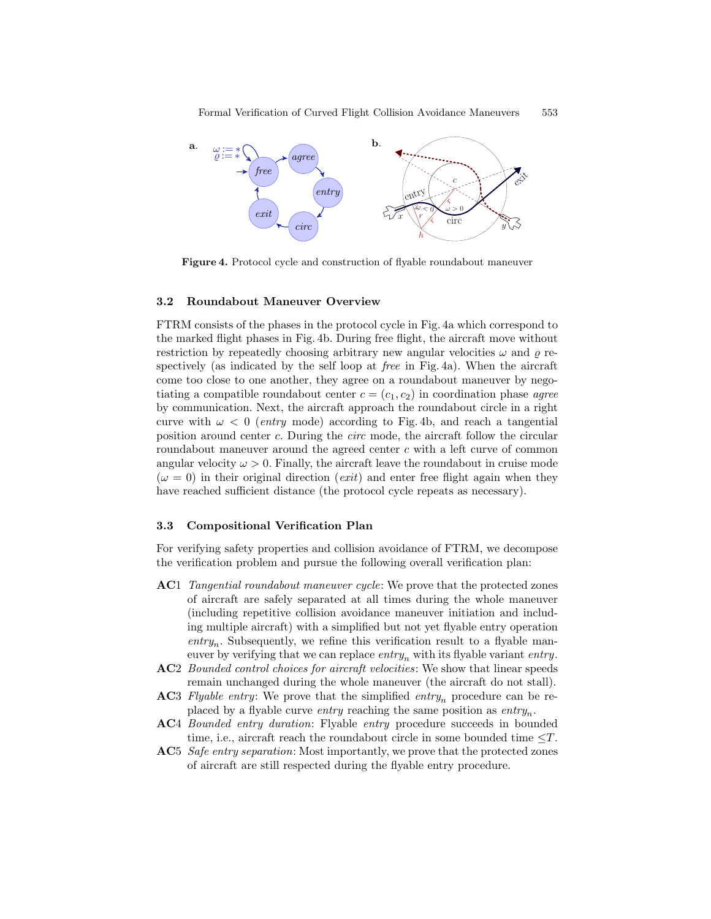

Figure 4. Protocol cycle and construction of flyable roundabout maneuver

### 3.2 Roundabout Maneuver Overview

FTRM consists of the phases in the protocol cycle in Fig. 4a which correspond to the marked flight phases in Fig. 4b. During free flight, the aircraft move without restriction by repeatedly choosing arbitrary new angular velocities  $\omega$  and  $\rho$  respectively (as indicated by the self loop at free in Fig. 4a). When the aircraft come too close to one another, they agree on a roundabout maneuver by negotiating a compatible roundabout center  $c = (c_1, c_2)$  in coordination phase *agree* by communication. Next, the aircraft approach the roundabout circle in a right curve with  $\omega < 0$  (entry mode) according to Fig. 4b, and reach a tangential position around center c. During the circ mode, the aircraft follow the circular roundabout maneuver around the agreed center c with a left curve of common angular velocity  $\omega > 0$ . Finally, the aircraft leave the roundabout in cruise mode  $(\omega = 0)$  in their original direction (*exit*) and enter free flight again when they have reached sufficient distance (the protocol cycle repeats as necessary).

### 3.3 Compositional Verification Plan

For verifying safety properties and collision avoidance of FTRM, we decompose the verification problem and pursue the following overall verification plan:

- AC1 Tangential roundabout maneuver cycle: We prove that the protected zones of aircraft are safely separated at all times during the whole maneuver (including repetitive collision avoidance maneuver initiation and including multiple aircraft) with a simplified but not yet flyable entry operation  $entry_n$ . Subsequently, we refine this verification result to a flyable maneuver by verifying that we can replace  $entry_n$  with its flyable variant entry.
- AC2 Bounded control choices for aircraft velocities: We show that linear speeds remain unchanged during the whole maneuver (the aircraft do not stall).
- AC3 Flyable entry: We prove that the simplified entry<sub>n</sub> procedure can be replaced by a flyable curve *entry* reaching the same position as  $entry_n$ .
- AC4 Bounded entry duration: Flyable entry procedure succeeds in bounded time, i.e., aircraft reach the roundabout circle in some bounded time  $\leq T$ .
- AC5 Safe entry separation: Most importantly, we prove that the protected zones of aircraft are still respected during the flyable entry procedure.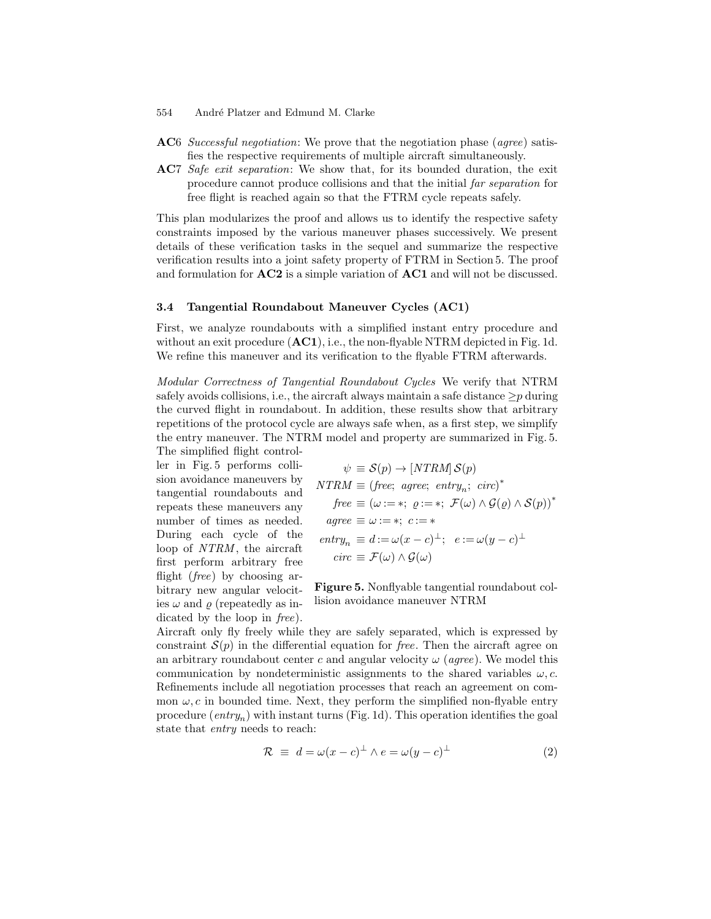- 554 André Platzer and Edmund M. Clarke
- AC6 Successful negotiation: We prove that the negotiation phase (agree) satisfies the respective requirements of multiple aircraft simultaneously.
- AC7 Safe exit separation: We show that, for its bounded duration, the exit procedure cannot produce collisions and that the initial far separation for free flight is reached again so that the FTRM cycle repeats safely.

This plan modularizes the proof and allows us to identify the respective safety constraints imposed by the various maneuver phases successively. We present details of these verification tasks in the sequel and summarize the respective verification results into a joint safety property of FTRM in Section 5. The proof and formulation for AC2 is a simple variation of AC1 and will not be discussed.

### 3.4 Tangential Roundabout Maneuver Cycles (AC1)

First, we analyze roundabouts with a simplified instant entry procedure and without an exit procedure  $(AC1)$ , i.e., the non-flyable NTRM depicted in Fig. 1d. We refine this maneuver and its verification to the flyable FTRM afterwards.

Modular Correctness of Tangential Roundabout Cycles We verify that NTRM safely avoids collisions, i.e., the aircraft always maintain a safe distance  $\geq p$  during the curved flight in roundabout. In addition, these results show that arbitrary repetitions of the protocol cycle are always safe when, as a first step, we simplify the entry maneuver. The NTRM model and property are summarized in Fig. 5. The simplified flight control-

ler in Fig. 5 performs collision avoidance maneuvers by tangential roundabouts and repeats these maneuvers any number of times as needed. During each cycle of the loop of NTRM, the aircraft first perform arbitrary free flight (*free*) by choosing arbitrary new angular velocities  $\omega$  and  $\rho$  (repeatedly as indicated by the loop in *free*).

$$
\psi \equiv \mathcal{S}(p) \rightarrow [NTRM] \mathcal{S}(p)
$$
  
\n
$$
NTRM \equiv (free; \text{ agree}; \text{ entry}_n; \text{ circ})^*
$$
  
\n
$$
free \equiv (\omega := *, \text{ } \varrho := *; \text{ } \mathcal{F}(\omega) \land \mathcal{G}(\varrho) \land \mathcal{S}(p))^*
$$
  
\n
$$
agree \equiv \omega := *; \text{ } c := *
$$
  
\n
$$
entry_n \equiv d := \omega(x - c)^{\perp}; \text{ } e := \omega(y - c)^{\perp}
$$
  
\n
$$
circ \equiv \mathcal{F}(\omega) \land \mathcal{G}(\omega)
$$

Figure 5. Nonflyable tangential roundabout collision avoidance maneuver NTRM

Aircraft only fly freely while they are safely separated, which is expressed by constraint  $S(p)$  in the differential equation for free. Then the aircraft agree on an arbitrary roundabout center c and angular velocity  $\omega$  (agree). We model this communication by nondeterministic assignments to the shared variables  $\omega$ , c. Refinements include all negotiation processes that reach an agreement on common  $\omega$ , c in bounded time. Next, they perform the simplified non-flyable entry procedure  $(entry_n)$  with instant turns (Fig. 1d). This operation identifies the goal state that entry needs to reach:

$$
\mathcal{R} \equiv d = \omega(x - c)^{\perp} \wedge e = \omega(y - c)^{\perp} \tag{2}
$$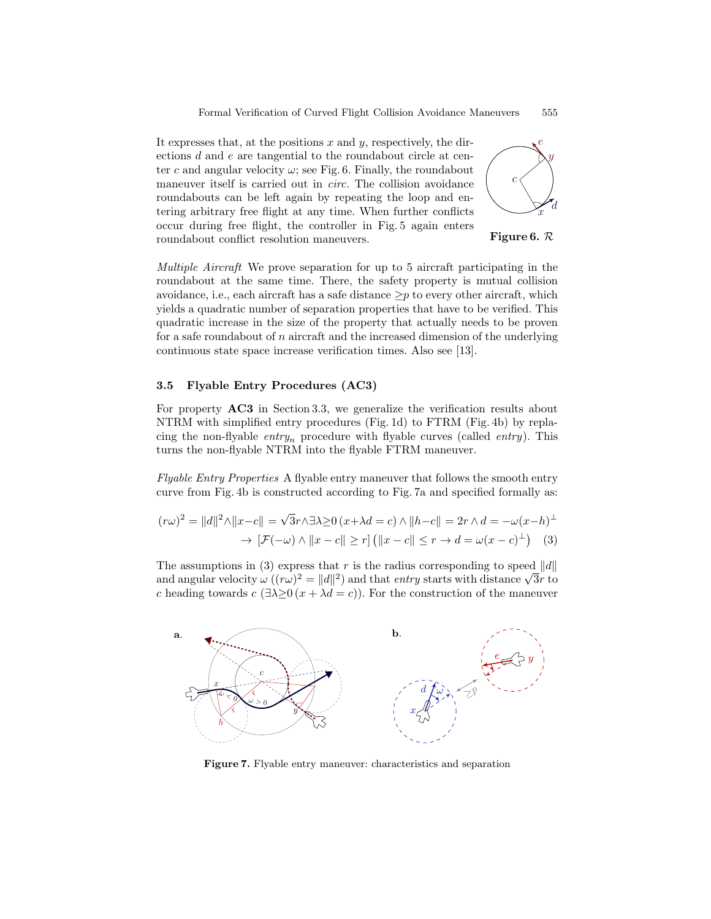It expresses that, at the positions  $x$  and  $y$ , respectively, the directions d and e are tangential to the roundabout circle at center c and angular velocity  $\omega$ ; see Fig. 6. Finally, the roundabout maneuver itself is carried out in circ. The collision avoidance roundabouts can be left again by repeating the loop and entering arbitrary free flight at any time. When further conflicts occur during free flight, the controller in Fig. 5 again enters roundabout conflict resolution maneuvers.



Figure 6.  $R$ 

Multiple Aircraft We prove separation for up to 5 aircraft participating in the roundabout at the same time. There, the safety property is mutual collision avoidance, i.e., each aircraft has a safe distance  $\geq p$  to every other aircraft, which yields a quadratic number of separation properties that have to be verified. This quadratic increase in the size of the property that actually needs to be proven for a safe roundabout of  $n$  aircraft and the increased dimension of the underlying continuous state space increase verification times. Also see [13].

### 3.5 Flyable Entry Procedures (AC3)

For property AC3 in Section 3.3, we generalize the verification results about NTRM with simplified entry procedures (Fig. 1d) to FTRM (Fig. 4b) by replacing the non-flyable  $entry_n$  procedure with flyable curves (called *entry*). This turns the non-flyable NTRM into the flyable FTRM maneuver.

Flyable Entry Properties A flyable entry maneuver that follows the smooth entry curve from Fig. 4b is constructed according to Fig. 7a and specified formally as:

$$
(r\omega)^2 = ||d||^2 \wedge ||x-c|| = \sqrt{3}r \wedge \exists \lambda \ge 0 \ (x + \lambda d = c) \wedge ||h-c|| = 2r \wedge d = -\omega(x-h)^{\perp}
$$

$$
\rightarrow [\mathcal{F}(-\omega) \wedge ||x-c|| \ge r] \ (||x-c|| \le r \to d = \omega(x-c)^{\perp}) \tag{3}
$$

The assumptions in (3) express that r is the radius corresponding to speed  $||d||$ The assumptions in (3) express that r is the radius corresponding to speed  $||a||$ <br>and angular velocity  $\omega ((r\omega)^2 = ||d||^2)$  and that *entry* starts with distance  $\sqrt{3}r$  to c heading towards c ( $\exists \lambda \geq 0$  ( $x + \lambda d = c$ )). For the construction of the maneuver



Figure 7. Flyable entry maneuver: characteristics and separation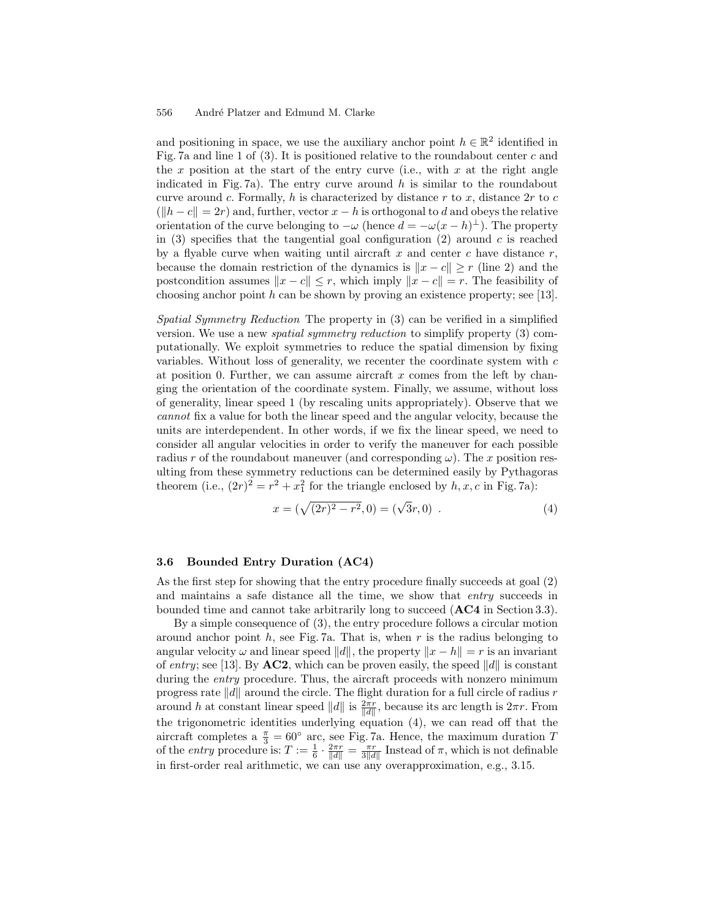#### 556 André Platzer and Edmund M. Clarke

and positioning in space, we use the auxiliary anchor point  $h \in \mathbb{R}^2$  identified in Fig. 7a and line 1 of (3). It is positioned relative to the roundabout center c and the x position at the start of the entry curve (i.e., with  $x$  at the right angle indicated in Fig. 7a). The entry curve around  $h$  is similar to the roundabout curve around c. Formally, h is characterized by distance r to x, distance  $2r$  to c  $(\Vert h - c \Vert = 2r)$  and, further, vector  $x - h$  is orthogonal to d and obeys the relative orientation of the curve belonging to  $-\omega$  (hence  $d = -\omega(x - h)^{\perp}$ ). The property in (3) specifies that the tangential goal configuration (2) around  $c$  is reached by a flyable curve when waiting until aircraft  $x$  and center  $c$  have distance  $r$ , because the domain restriction of the dynamics is  $\|x - c\| \ge r$  (line 2) and the postcondition assumes  $||x - c|| \leq r$ , which imply  $||x - c|| = r$ . The feasibility of choosing anchor point h can be shown by proving an existence property; see [13].

Spatial Symmetry Reduction The property in (3) can be verified in a simplified version. We use a new spatial symmetry reduction to simplify property (3) computationally. We exploit symmetries to reduce the spatial dimension by fixing variables. Without loss of generality, we recenter the coordinate system with  $c$ at position 0. Further, we can assume aircraft  $x$  comes from the left by changing the orientation of the coordinate system. Finally, we assume, without loss of generality, linear speed 1 (by rescaling units appropriately). Observe that we cannot fix a value for both the linear speed and the angular velocity, because the units are interdependent. In other words, if we fix the linear speed, we need to consider all angular velocities in order to verify the maneuver for each possible radius r of the roundabout maneuver (and corresponding  $\omega$ ). The x position resulting from these symmetry reductions can be determined easily by Pythagoras theorem (i.e.,  $(2r)^2 = r^2 + x_1^2$  for the triangle enclosed by  $h, x, c$  in Fig. 7a):

$$
x = (\sqrt{(2r)^2 - r^2}, 0) = (\sqrt{3}r, 0) .
$$
 (4)

## 3.6 Bounded Entry Duration (AC4)

As the first step for showing that the entry procedure finally succeeds at goal (2) and maintains a safe distance all the time, we show that entry succeeds in bounded time and cannot take arbitrarily long to succeed (AC4 in Section 3.3).

By a simple consequence of (3), the entry procedure follows a circular motion around anchor point  $h$ , see Fig. 7a. That is, when  $r$  is the radius belonging to angular velocity  $\omega$  and linear speed  $||d||$ , the property  $||x - h|| = r$  is an invariant of entry; see [13]. By  $AC2$ , which can be proven easily, the speed ||d|| is constant during the entry procedure. Thus, the aircraft proceeds with nonzero minimum progress rate  $||d||$  around the circle. The flight duration for a full circle of radius r around h at constant linear speed  $||d||$  is  $\frac{2\pi r}{||d||}$ , because its arc length is  $2\pi r$ . From the trigonometric identities underlying equation (4), we can read off that the aircraft completes a  $\frac{\pi}{3} = 60^{\circ}$  arc, see Fig. 7a. Hence, the maximum duration T of the *entry* procedure is:  $T := \frac{1}{6} \cdot \frac{2\pi r}{\|d\|} = \frac{\pi r}{3\|d\|}$  Instead of  $\pi$ , which is not definable in first-order real arithmetic, we can use any overapproximation, e.g., 3.15.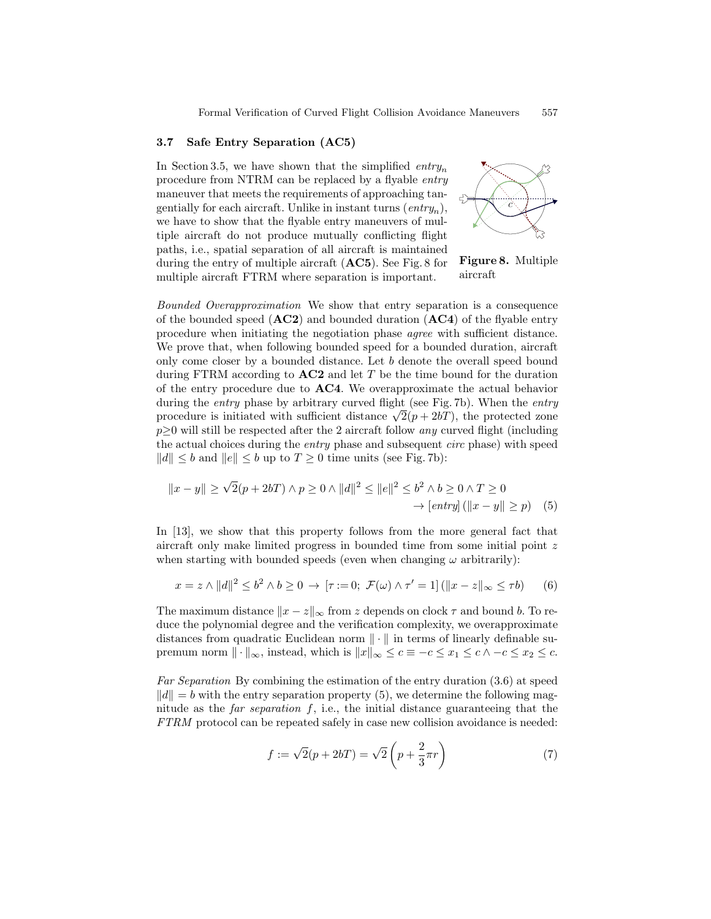### 3.7 Safe Entry Separation (AC5)

In Section 3.5, we have shown that the simplified entry<sub>n</sub> procedure from NTRM can be replaced by a flyable entry maneuver that meets the requirements of approaching tangentially for each aircraft. Unlike in instant turns  $(\text{entry}_n)$ , we have to show that the flyable entry maneuvers of multiple aircraft do not produce mutually conflicting flight paths, i.e., spatial separation of all aircraft is maintained during the entry of multiple aircraft (AC5). See Fig. 8 for multiple aircraft FTRM where separation is important.



Figure 8. Multiple aircraft

Bounded Overapproximation We show that entry separation is a consequence of the bounded speed  $(AC2)$  and bounded duration  $(AC4)$  of the flyable entry procedure when initiating the negotiation phase agree with sufficient distance. We prove that, when following bounded speed for a bounded duration, aircraft only come closer by a bounded distance. Let b denote the overall speed bound during FTRM according to  $AC2$  and let T be the time bound for the duration of the entry procedure due to AC4. We overapproximate the actual behavior during the *entry* phase by arbitrary curved flight (see Fig. 7b). When the *entry* during the *entry* phase by arbitrary curved hight (see Fig. (b). When the *entry* procedure is initiated with sufficient distance  $\sqrt{2}(p + 2bT)$ , the protected zone  $p>0$  will still be respected after the 2 aircraft follow any curved flight (including the actual choices during the entry phase and subsequent circ phase) with speed  $||d|| \leq b$  and  $||e|| \leq b$  up to  $T \geq 0$  time units (see Fig. 7b):

$$
||x - y|| \ge \sqrt{2}(p + 2bT) \land p \ge 0 \land ||d||^2 \le ||e||^2 \le b^2 \land b \ge 0 \land T \ge 0
$$
  
\n
$$
\to [entry] (||x - y|| \ge p) (5)
$$

In [13], we show that this property follows from the more general fact that aircraft only make limited progress in bounded time from some initial point z when starting with bounded speeds (even when changing  $\omega$  arbitrarily):

$$
x = z \wedge ||d||^2 \le b^2 \wedge b \ge 0 \to [\tau := 0; \ \mathcal{F}(\omega) \wedge \tau' = 1] (||x - z||_{\infty} \le \tau b) \tag{6}
$$

The maximum distance  $||x - z||_{\infty}$  from z depends on clock  $\tau$  and bound b. To reduce the polynomial degree and the verification complexity, we overapproximate distances from quadratic Euclidean norm  $\|\cdot\|$  in terms of linearly definable supremum norm  $\|\cdot\|_{\infty}$ , instead, which is  $\|x\|_{\infty} \leq c \equiv -c \leq x_1 \leq c \wedge -c \leq x_2 \leq c$ .

Far Separation By combining the estimation of the entry duration (3.6) at speed  $\Vert d \Vert = b$  with the entry separation property (5), we determine the following magnitude as the *far separation*  $f$ , i.e., the initial distance guaranteeing that the FTRM protocol can be repeated safely in case new collision avoidance is needed:

$$
f := \sqrt{2}(p + 2bT) = \sqrt{2}\left(p + \frac{2}{3}\pi r\right) \tag{7}
$$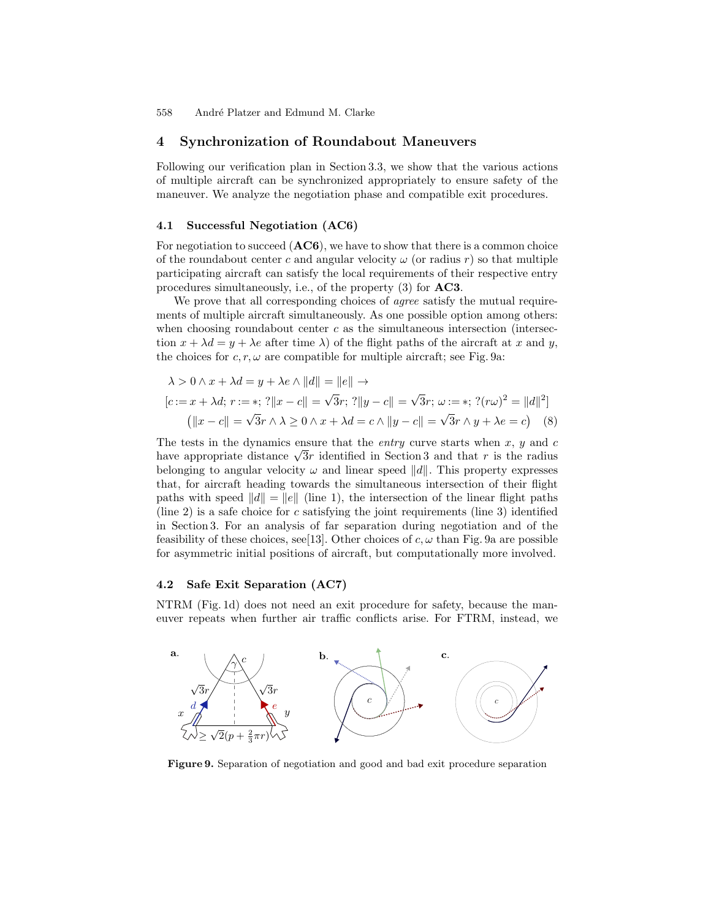558 André Platzer and Edmund M. Clarke

# 4 Synchronization of Roundabout Maneuvers

Following our verification plan in Section 3.3, we show that the various actions of multiple aircraft can be synchronized appropriately to ensure safety of the maneuver. We analyze the negotiation phase and compatible exit procedures.

#### 4.1 Successful Negotiation (AC6)

For negotiation to succeed (AC6), we have to show that there is a common choice of the roundabout center c and angular velocity  $\omega$  (or radius r) so that multiple participating aircraft can satisfy the local requirements of their respective entry procedures simultaneously, i.e., of the property (3) for AC3.

We prove that all corresponding choices of *agree* satisfy the mutual requirements of multiple aircraft simultaneously. As one possible option among others: when choosing roundabout center  $c$  as the simultaneous intersection (intersection  $x + \lambda d = y + \lambda e$  after time  $\lambda$ ) of the flight paths of the aircraft at x and y, the choices for  $c, r, \omega$  are compatible for multiple aircraft; see Fig. 9a:

$$
\lambda > 0 \land x + \lambda d = y + \lambda e \land ||d|| = ||e|| \rightarrow
$$
  
[c:=x + \lambda d; r:=\*; ?||x - c|| =  $\sqrt{3}r$ ; ?||y - c|| =  $\sqrt{3}r$ ;  $\omega := *$ ; ?(r\omega)<sup>2</sup> = ||d||<sup>2</sup>]  
(||x - c|| =  $\sqrt{3}r \land \lambda \ge 0 \land x + \lambda d = c \land ||y - c|| = \sqrt{3}r \land y + \lambda e = c$ ) (8)

The tests in the dynamics ensure that the *entry* curve starts when  $x, y$  and  $c$ The tests in the dynamics ensure that the *entry* curve starts when x, y and c have appropriate distance  $\sqrt{3}r$  identified in Section 3 and that r is the radius belonging to angular velocity  $\omega$  and linear speed  $||d||$ . This property expresses that, for aircraft heading towards the simultaneous intersection of their flight paths with speed  $||d|| = ||e||$  (line 1), the intersection of the linear flight paths (line 2) is a safe choice for  $c$  satisfying the joint requirements (line 3) identified in Section 3. For an analysis of far separation during negotiation and of the feasibility of these choices, see<sup>[13]</sup>. Other choices of c,  $\omega$  than Fig. 9a are possible for asymmetric initial positions of aircraft, but computationally more involved.

### 4.2 Safe Exit Separation (AC7)

NTRM (Fig. 1d) does not need an exit procedure for safety, because the maneuver repeats when further air traffic conflicts arise. For FTRM, instead, we



Figure 9. Separation of negotiation and good and bad exit procedure separation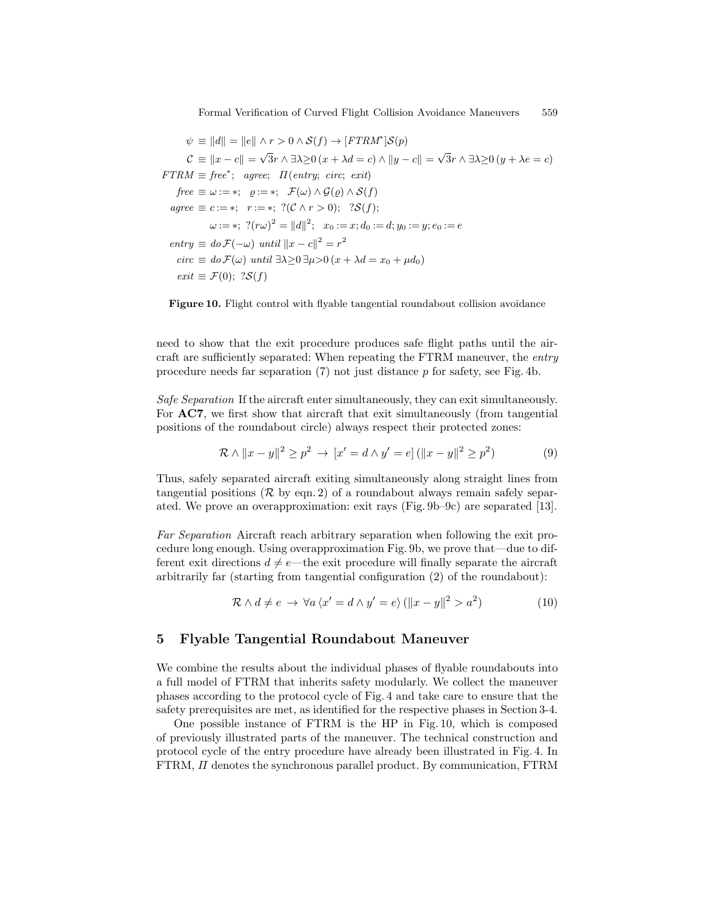$$
\psi \equiv ||d|| = ||e|| \land r > 0 \land S(f) \rightarrow [FTRM^*]S(p)
$$
\n
$$
\mathcal{C} \equiv ||x - c|| = \sqrt{3}r \land \exists \lambda \ge 0 \ (x + \lambda d = c) \land ||y - c|| = \sqrt{3}r \land \exists \lambda \ge 0 \ (y + \lambda e = c)
$$
\n
$$
FTRM \equiv free^*; \quad agree; \quad H(entry; \quad circ; \quad exit)
$$
\n
$$
free \equiv \omega := *, \quad \varrho := *, \quad \mathcal{F}(\omega) \land \mathcal{G}(\varrho) \land S(f)
$$
\n
$$
agree \equiv c := *; \quad r := *; \quad ?(\mathcal{C} \land r > 0); \quad ?S(f);
$$
\n
$$
\omega := *; \quad ?(r\omega)^2 = ||d||^2; \quad x_0 := x; d_0 := d; y_0 := y; e_0 := e
$$
\n
$$
entry \equiv d_0 \mathcal{F}(-\omega) \text{ until } ||x - c||^2 = r^2
$$
\n
$$
circ \equiv d_0 \mathcal{F}(\omega) \text{ until } \exists \lambda \ge 0 \ \exists \mu > 0 \ (x + \lambda d = x_0 + \mu d_0)
$$
\n
$$
exit \equiv \mathcal{F}(0); \quad ?S(f)
$$

Figure 10. Flight control with flyable tangential roundabout collision avoidance

need to show that the exit procedure produces safe flight paths until the aircraft are sufficiently separated: When repeating the FTRM maneuver, the entry procedure needs far separation (7) not just distance p for safety, see Fig. 4b.

Safe Separation If the aircraft enter simultaneously, they can exit simultaneously. For AC7, we first show that aircraft that exit simultaneously (from tangential positions of the roundabout circle) always respect their protected zones:

$$
\mathcal{R} \wedge ||x - y||^2 \ge p^2 \to [x' = d \wedge y' = e] (||x - y||^2 \ge p^2)
$$
 (9)

Thus, safely separated aircraft exiting simultaneously along straight lines from tangential positions ( $\mathcal R$  by eqn. 2) of a roundabout always remain safely separated. We prove an overapproximation: exit rays (Fig. 9b–9c) are separated [13].

Far Separation Aircraft reach arbitrary separation when following the exit procedure long enough. Using overapproximation Fig. 9b, we prove that—due to different exit directions  $d \neq e$ —the exit procedure will finally separate the aircraft arbitrarily far (starting from tangential configuration (2) of the roundabout):

$$
\mathcal{R} \wedge d \neq e \rightarrow \forall a \left\langle x' = d \wedge y' = e \right\rangle \left( \|x - y\|^2 > a^2 \right) \tag{10}
$$

# 5 Flyable Tangential Roundabout Maneuver

We combine the results about the individual phases of flyable roundabouts into a full model of FTRM that inherits safety modularly. We collect the maneuver phases according to the protocol cycle of Fig. 4 and take care to ensure that the safety prerequisites are met, as identified for the respective phases in Section 3-4.

One possible instance of FTRM is the HP in Fig. 10, which is composed of previously illustrated parts of the maneuver. The technical construction and protocol cycle of the entry procedure have already been illustrated in Fig. 4. In FTRM, Π denotes the synchronous parallel product. By communication, FTRM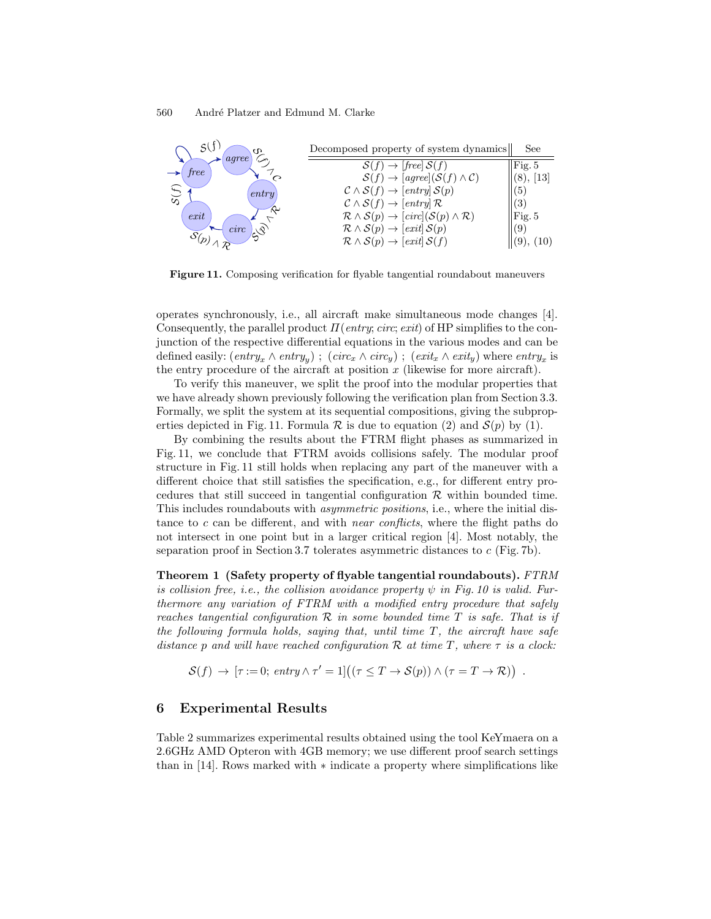

Figure 11. Composing verification for flyable tangential roundabout maneuvers

operates synchronously, i.e., all aircraft make simultaneous mode changes [4]. Consequently, the parallel product  $\Pi(\text{entry}; \text{circ}; \text{exit})$  of HP simplifies to the conjunction of the respective differential equations in the various modes and can be defined easily:  $(\textit{entry}_x \land \textit{entry}_y)$ ;  $(\textit{circ}_x \land \textit{circ}_y)$ ;  $(\textit{exit}_x \land \textit{exit}_y)$  where  $\textit{entry}_x$  is the entry procedure of the aircraft at position  $x$  (likewise for more aircraft).

To verify this maneuver, we split the proof into the modular properties that we have already shown previously following the verification plan from Section 3.3. Formally, we split the system at its sequential compositions, giving the subproperties depicted in Fig. 11. Formula  $\mathcal R$  is due to equation (2) and  $\mathcal S(p)$  by (1).

By combining the results about the FTRM flight phases as summarized in Fig. 11, we conclude that FTRM avoids collisions safely. The modular proof structure in Fig. 11 still holds when replacing any part of the maneuver with a different choice that still satisfies the specification, e.g., for different entry procedures that still succeed in tangential configuration  $R$  within bounded time. This includes roundabouts with *asymmetric positions*, i.e., where the initial distance to  $c$  can be different, and with *near conflicts*, where the flight paths do not intersect in one point but in a larger critical region [4]. Most notably, the separation proof in Section 3.7 tolerates asymmetric distances to  $c$  (Fig. 7b).

Theorem 1 (Safety property of flyable tangential roundabouts). FTRM is collision free, i.e., the collision avoidance property  $\psi$  in Fig. 10 is valid. Furthermore any variation of FTRM with a modified entry procedure that safely reaches tangential configuration  $R$  in some bounded time  $T$  is safe. That is if the following formula holds, saying that, until time  $T$ , the aircraft have safe distance p and will have reached configuration  $R$  at time  $T$ , where  $\tau$  is a clock:

$$
\mathcal{S}(f) \to [\tau := 0; \text{ entry} \land \tau' = 1] ((\tau \le T \to \mathcal{S}(p)) \land (\tau = T \to \mathcal{R}))
$$

.

# 6 Experimental Results

Table 2 summarizes experimental results obtained using the tool KeYmaera on a 2.6GHz AMD Opteron with 4GB memory; we use different proof search settings than in [14]. Rows marked with ∗ indicate a property where simplifications like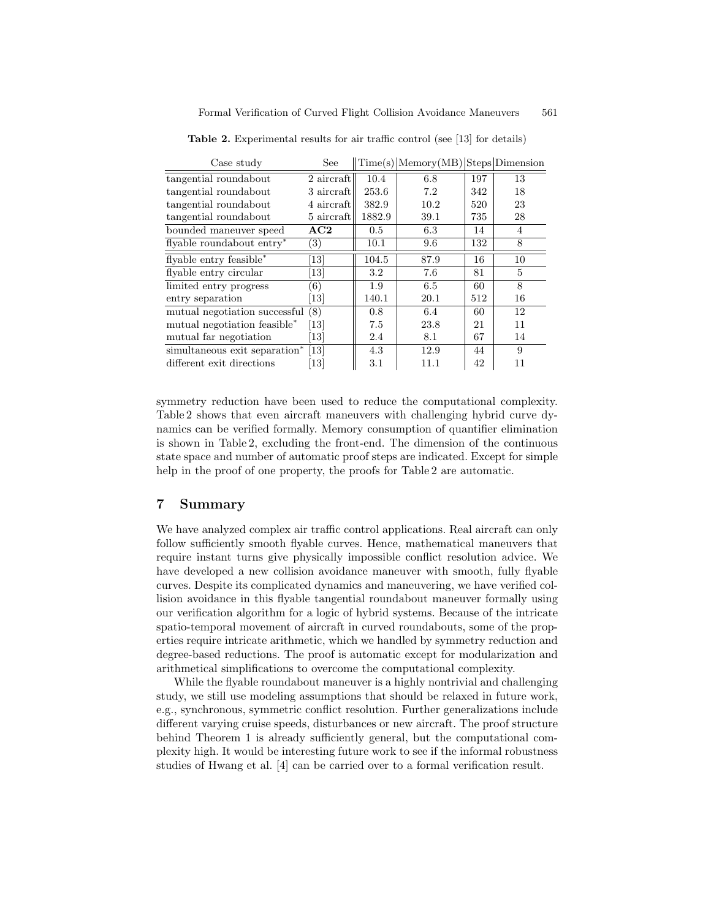| Case study                               | See                           |         | Time(s) Memory(MB) Steps Dimension |     |                |
|------------------------------------------|-------------------------------|---------|------------------------------------|-----|----------------|
| tangential roundabout                    | 2 aircraft                    | 10.4    | 6.8                                | 197 | 13             |
| tangential roundabout                    | 3 aircraft                    | 253.6   | 7.2                                | 342 | 18             |
| tangential roundabout                    | 4 aircraft                    | 382.9   | 10.2                               | 520 | 23             |
| tangential roundabout                    | 5 aircraft                    | 1882.9  | 39.1                               | 735 | 28             |
| bounded maneuver speed                   | $\rm AC2$                     | 0.5     | 6.3                                | 14  | 4              |
| flyable roundabout entry*                | 3)                            | 10.1    | 9.6                                | 132 | 8              |
| flyable entry feasible*                  | $\left\lceil 13 \right\rceil$ | 104.5   | 87.9                               | 16  | 10             |
| flyable entry circular                   | 13                            | $3.2\,$ | 7.6                                | 81  | $\overline{5}$ |
| limited entry progress                   | (6)                           | 1.9     | 6.5                                | 60  | 8              |
| entry separation                         | 13                            | 140.1   | 20.1                               | 512 | 16             |
| mutual negotiation successful            | (8)                           | 0.8     | 6.4                                | 60  | 12             |
| mutual negotiation feasible <sup>*</sup> | $[13]$                        | 7.5     | 23.8                               | 21  | 11             |
| mutual far negotiation                   | [13]                          | 2.4     | 8.1                                | 67  | 14             |
| simultaneous exit separation*            | [13]                          | 4.3     | 12.9                               | 44  | 9              |
| different exit directions                | [13]                          | 3.1     | 11.1                               | 42  | 11             |

Table 2. Experimental results for air traffic control (see [13] for details)

symmetry reduction have been used to reduce the computational complexity. Table 2 shows that even aircraft maneuvers with challenging hybrid curve dynamics can be verified formally. Memory consumption of quantifier elimination is shown in Table 2, excluding the front-end. The dimension of the continuous state space and number of automatic proof steps are indicated. Except for simple help in the proof of one property, the proofs for Table 2 are automatic.

# 7 Summary

We have analyzed complex air traffic control applications. Real aircraft can only follow sufficiently smooth flyable curves. Hence, mathematical maneuvers that require instant turns give physically impossible conflict resolution advice. We have developed a new collision avoidance maneuver with smooth, fully flyable curves. Despite its complicated dynamics and maneuvering, we have verified collision avoidance in this flyable tangential roundabout maneuver formally using our verification algorithm for a logic of hybrid systems. Because of the intricate spatio-temporal movement of aircraft in curved roundabouts, some of the properties require intricate arithmetic, which we handled by symmetry reduction and degree-based reductions. The proof is automatic except for modularization and arithmetical simplifications to overcome the computational complexity.

While the flyable roundabout maneuver is a highly nontrivial and challenging study, we still use modeling assumptions that should be relaxed in future work, e.g., synchronous, symmetric conflict resolution. Further generalizations include different varying cruise speeds, disturbances or new aircraft. The proof structure behind Theorem 1 is already sufficiently general, but the computational complexity high. It would be interesting future work to see if the informal robustness studies of Hwang et al. [4] can be carried over to a formal verification result.